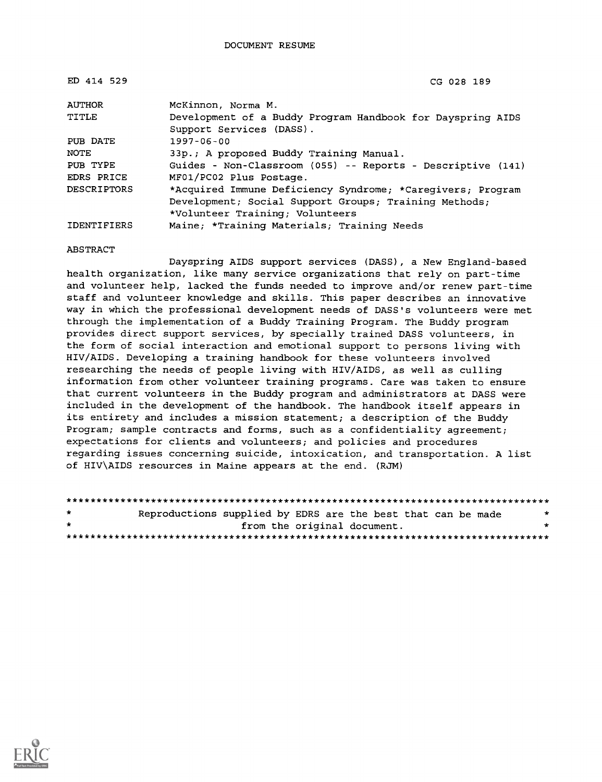| ED 414 529         | CG 028 189                                                  |
|--------------------|-------------------------------------------------------------|
| <b>AUTHOR</b>      | McKinnon, Norma M.                                          |
| TITLE              | Development of a Buddy Program Handbook for Dayspring AIDS  |
|                    | Support Services (DASS).                                    |
| PUB DATE           | $1997 - 06 - 00$                                            |
| NOTE               | 33p.; A proposed Buddy Training Manual.                     |
| PUB TYPE           | Guides - Non-Classroom (055) -- Reports - Descriptive (141) |
| EDRS PRICE         | MF01/PC02 Plus Postage.                                     |
| <b>DESCRIPTORS</b> | *Acquired Immune Deficiency Syndrome; *Caregivers; Program  |
|                    | Development; Social Support Groups; Training Methods;       |
|                    | *Volunteer Training; Volunteers                             |
| <b>IDENTIFIERS</b> | Maine; *Training Materials; Training Needs                  |

#### ABSTRACT

Dayspring AIDS support services (DASS), a New England-based health organization, like many service organizations that rely on part-time and volunteer help, lacked the funds needed to improve and/or renew part-time staff and volunteer knowledge and skills. This paper describes an innovative way in which the professional development needs of DASS's volunteers were met through the implementation of a Buddy Training Program. The Buddy program provides direct support services, by specially trained DASS volunteers, in the form of social interaction and emotional support to persons living with HIV/AIDS. Developing a training handbook for these volunteers involved researching the needs of people living with HIV/AIDS, as well as culling information from other volunteer training programs. Care was taken to ensure that current volunteers in the Buddy program and administrators at DASS were included in the development of the handbook. The handbook itself appears in its entirety and includes a mission statement; a description of the Buddy Program; sample contracts and forms, such as a confidentiality agreement; expectations for clients and volunteers; and policies and procedures regarding issues concerning suicide, intoxication, and transportation. A list of HIV\AIDS resources in Maine appears at the end. (RJM)

| $\star$ | Reproductions supplied by EDRS are the best that can be made |                             |  |  | $\star$ |
|---------|--------------------------------------------------------------|-----------------------------|--|--|---------|
| $\star$ |                                                              | from the original document. |  |  |         |
|         |                                                              |                             |  |  |         |

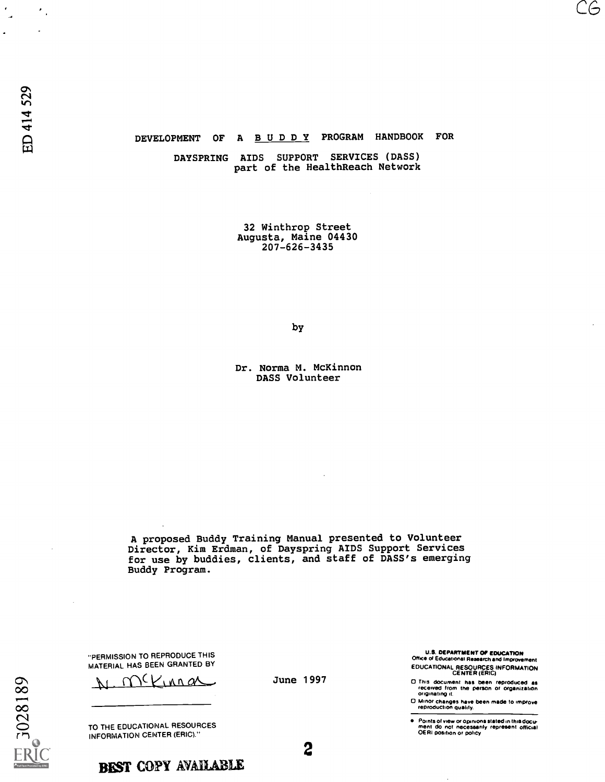### DEVELOPMENT OF A BUDDY PROGRAM HANDBOOK FOR

DAYSPRING AIDS SUPPORT SERVICES (DASS) part of the HealthReach Network

> 32 Winthrop Street Augusta, Maine 04430 207-626-3435

> > by

Dr. Norma M. McKinnon DASS Volunteer

A proposed Buddy Training Manual presented to Volunteer Director, Kim Erdman, of Dayspring AIDS Support Services for use by buddies, clients, and staff of DASS's emerging Buddy Program.

"PERMISSION TO REPRODUCE THIS MATERIAL HAS BEEN GRANTED BY

 $mV$ , nn as

TO THE EDUCATIONAL RESOURCES INFORMATION CENTER (ERIC)."



BEST COPY AVAILABLE

June 1997

2

U.S. DEPARTMENT OP EDUCATION Office of Educational Research and Improvement EDUCATIONAL RESOURCES INFORMATION CENTER (ERIC)

CG

0 This document has been reproduced as received I rom the person or organization originating d.

0 Minor changes have been made to improve reproduction Quality.

Points of view on opinions stated in thus docu- ment do not necessarily represent official OE RI position or policy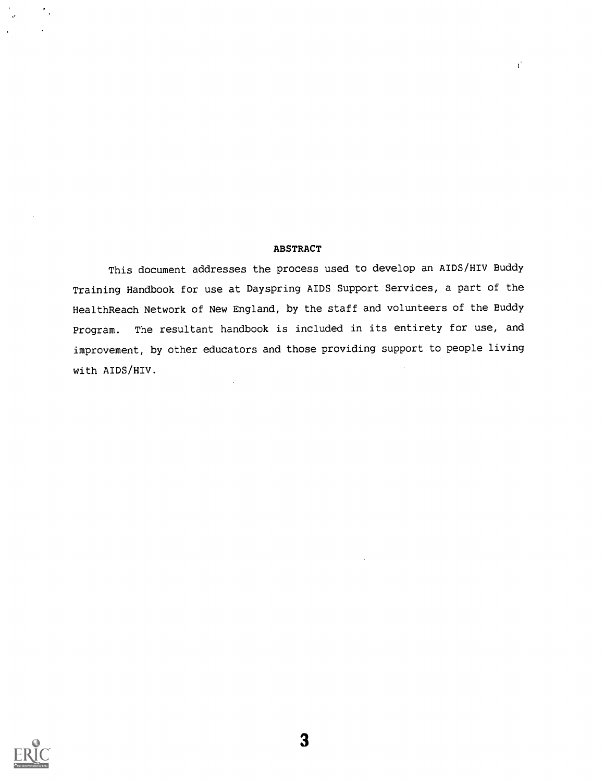### ABSTRACT

 $\mathbf{r}^*$ 

This document addresses the process used to develop an AIDS/HIV Buddy Training Handbook for use at Dayspring AIDS Support Services, a part of the HealthReach Network of New England, by the staff and volunteers of the Buddy Program. The resultant handbook is included in its entirety for use, and improvement, by other educators and those providing support to people living with AIDS/HIV.

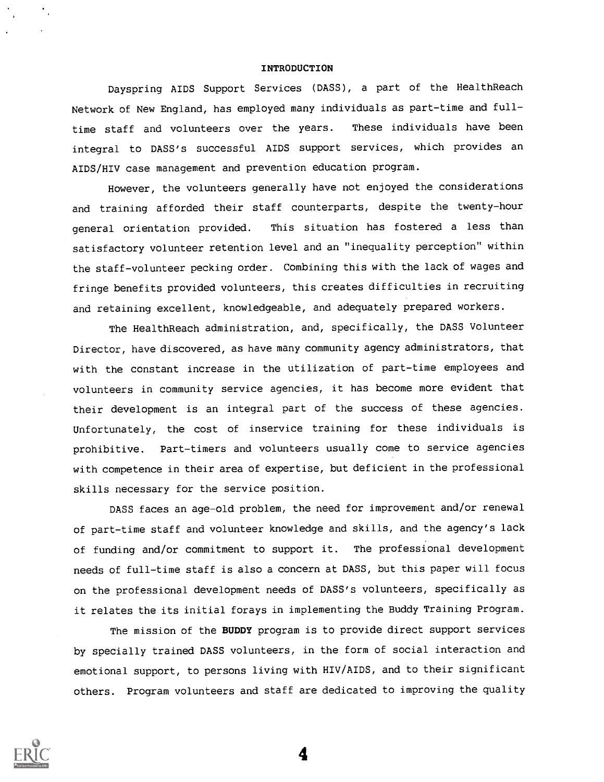#### INTRODUCTION

Dayspring AIDS Support Services (DASS), a part of the HealthReach Network of New England, has employed many individuals as part-time and fulltime staff and volunteers over the years. These individuals have been integral to DASS's successful AIDS support services, which provides an AIDS/HIV case management and prevention education program.

However, the volunteers generally have not enjoyed the considerations and training afforded their staff counterparts, despite the twenty-hour general orientation provided. This situation has fostered a less than satisfactory volunteer retention level and an "inequality perception" within the staff-volunteer pecking order. Combining this with the lack of wages and fringe benefits provided volunteers, this creates difficulties in recruiting and retaining excellent, knowledgeable, and adequately prepared workers.

The HealthReach administration, and, specifically, the DASS Volunteer Director, have discovered, as have many community agency administrators, that with the constant increase in the utilization of part-time employees and volunteers in community service agencies, it has become more evident that their development is an integral part of the success of these agencies. Unfortunately, the cost of inservice training for these individuals is prohibitive. Part-timers and volunteers usually come to service agencies with competence in their area of expertise, but deficient in the professional skills necessary for the service position.

DASS faces an age-old problem, the need for improvement and/or renewal of part-time staff and volunteer knowledge and skills, and the agency's lack of funding and/or commitment to support it. The professional development needs of full-time staff is also a concern at DASS, but this paper will focus on the professional development needs of DASS's volunteers, specifically as it relates the its initial forays in implementing the Buddy Training Program.

The mission of the BUDDY program is to provide direct support services by specially trained DASS volunteers, in the form of social interaction and emotional support, to persons living with HIV/AIDS, and to their significant others. Program volunteers and staff are dedicated to improving the quality

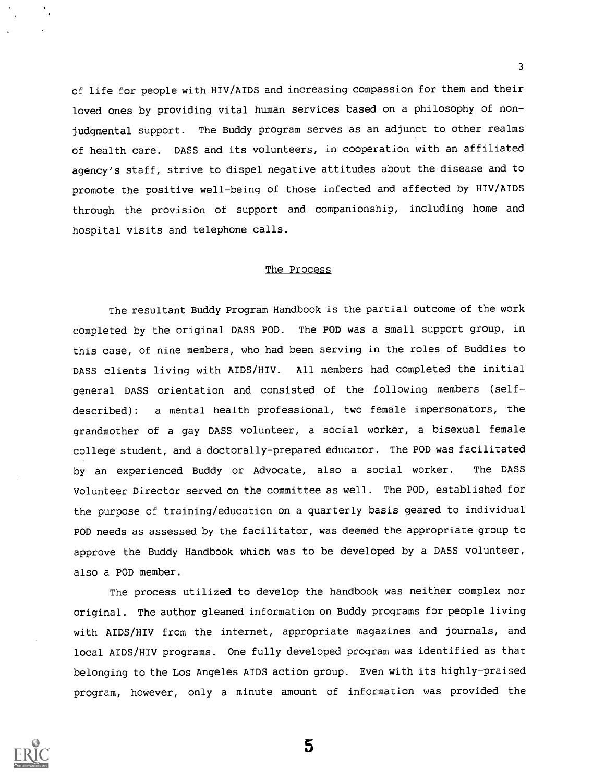of life for people with HIV/AIDS and increasing compassion for them and their loved ones by providing vital human services based on a philosophy of nonjudgmental support. The Buddy program serves as an adjunct to other realms of health care. DASS and its volunteers, in cooperation with an affiliated agency's staff, strive to dispel negative attitudes about the disease and to promote the positive well-being of those infected and affected by HIV/AIDS through the provision of support and companionship, including home and hospital visits and telephone calls.

### The Process

The resultant Buddy Program Handbook is the partial outcome of the work completed by the original DASS POD. The POD was a small support group, in this case, of nine members, who had been serving in the roles of Buddies to DASS clients living with AIDS/HIV. All members had completed the initial general DASS orientation and consisted of the following members (selfdescribed): a mental health professional, two female impersonators, the grandmother of a gay DASS volunteer, a social worker, a bisexual female college student, and a doctorally-prepared educator. The POD was facilitated by an experienced Buddy or Advocate, also a social worker. The DASS Volunteer Director served on the committee as well. The POD, established for the purpose of training/education on a quarterly basis geared to individual POD needs as assessed by the facilitator, was deemed the appropriate group to approve the Buddy Handbook which was to be developed by a DASS volunteer, also a POD member.

The process utilized to develop the handbook was neither complex nor original. The author gleaned information on Buddy programs for people living with AIDS/HIV from the internet, appropriate magazines and journals, and local AIDS/HIV programs. One fully developed program was identified as that belonging to the Los Angeles AIDS action group. Even with its highly-praised program, however, only a minute amount of information was provided the

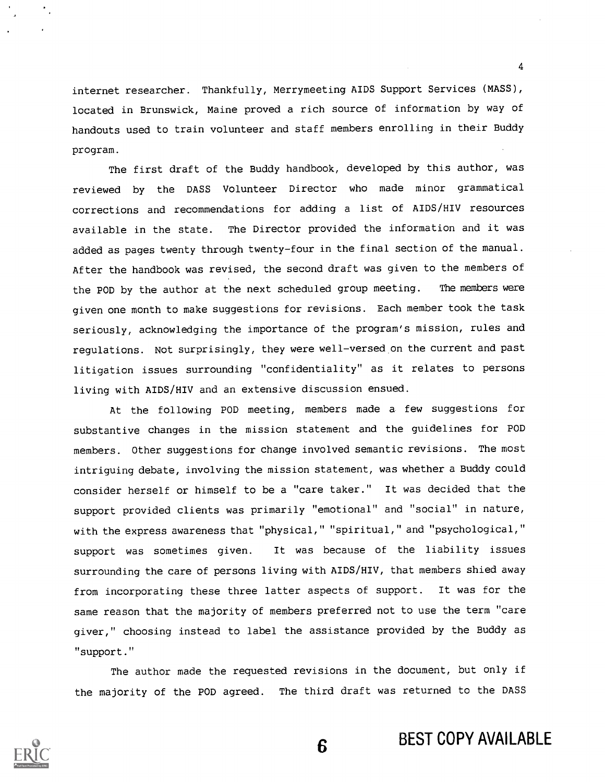internet researcher. Thankfully, Merrymeeting AIDS Support Services (MASS), located in Brunswick, Maine proved a rich source of information by way of handouts used to train volunteer and staff members enrolling in their Buddy program.

The first draft of the Buddy handbook, developed by this author, was reviewed by the DASS Volunteer Director who made minor grammatical corrections and recommendations for adding a list of AIDS/HIV resources available in the state. The Director provided the information and it was added as pages twenty through twenty-four in the final section of the manual. After the handbook was revised, the second draft was given to the members of the POD by the author at the next scheduled group meeting. The members were given one month to make suggestions for revisions. Each member took the task seriously, acknowledging the importance of the program's mission, rules and regulations. Not surprisingly, they were well-versed on the current and past litigation issues surrounding "confidentiality" as it relates to persons living with AIDS/HIV and an extensive discussion ensued.

At the following POD meeting, members made a few suggestions for substantive changes in the mission statement and the guidelines for POD members. Other suggestions for change involved semantic revisions. The most intriguing debate, involving the mission statement, was whether a Buddy could consider herself or himself to be a "care taker." It was decided that the support provided clients was primarily "emotional" and "social" in nature, with the express awareness that "physical," "spiritual," and "psychological," support was sometimes given. It was because of the liability issues surrounding the care of persons living with AIDS/HIV, that members shied away from incorporating these three latter aspects of support. It was for the same reason that the majority of members preferred not to use the term "care giver," choosing instead to label the assistance provided by the Buddy as "support."

The author made the requested revisions in the document, but only if the majority of the POD agreed. The third draft was returned to the DASS



4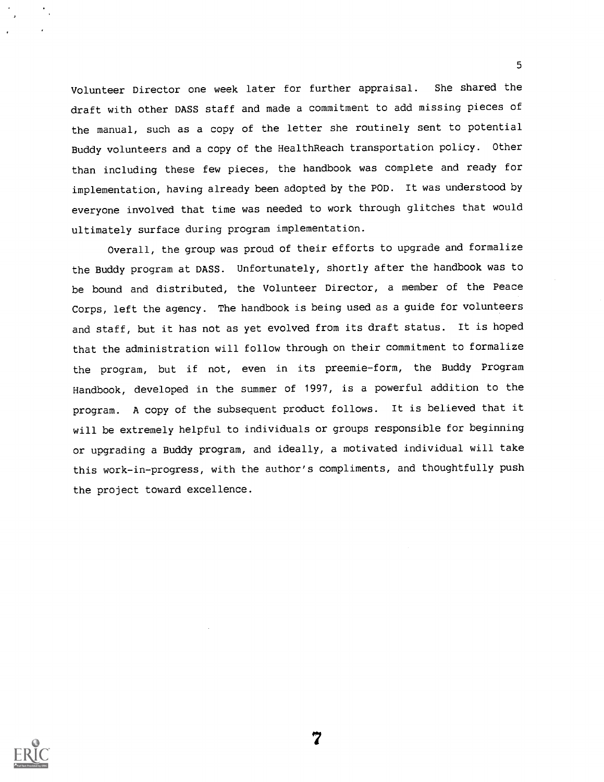Volunteer Director one week later for further appraisal. She shared the draft with other DASS staff and made a commitment to add missing pieces of the manual, such as a copy of the letter she routinely sent to potential Buddy volunteers and a copy of the HealthReach transportation policy. Other than including these few pieces, the handbook was complete and ready for implementation, having already been adopted by the POD. It was understood by everyone involved that time was needed to work through glitches that would ultimately surface during program implementation.

5

Overall, the group was proud of their efforts to upgrade and formalize the Buddy program at DASS. Unfortunately, shortly after the handbook was to be bound and distributed, the Volunteer Director, a member of the Peace Corps, left the agency. The handbook is being used as a guide for volunteers and staff, but it has not as yet evolved from its draft status. It is hoped that the administration will follow through on their commitment to formalize the program, but if not, even in its preemie-form, the Buddy Program Handbook, developed in the summer of 1997, is a powerful addition to the program. A copy of the subsequent product follows. It is believed that it will be extremely helpful to individuals or groups responsible for beginning or upgrading a Buddy program, and ideally, a motivated individual will take this work-in-progress, with the author's compliments, and thoughtfully push the project toward excellence.

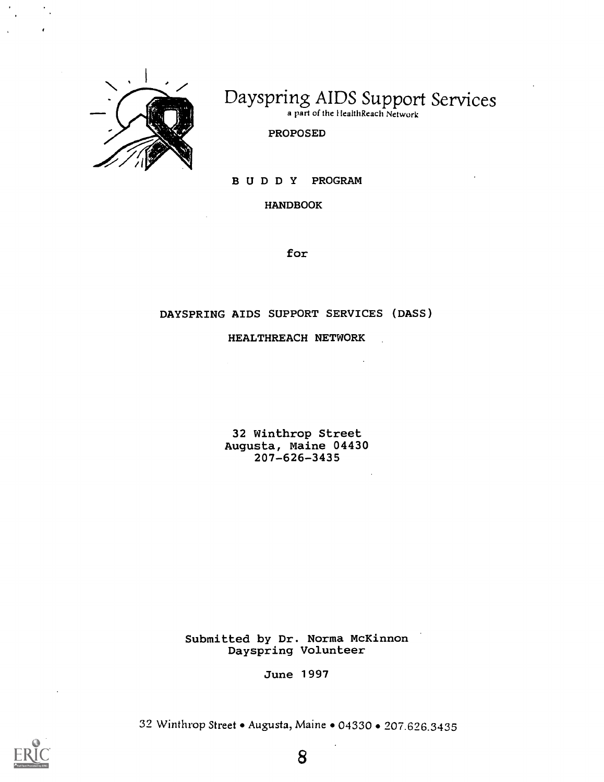

# Dayspring AIDS Support Services

a part of the llealthReach Network

PROPOSED

BUDDY PROGRAM

HANDBOOK

for

### DAYSPRING AIDS SUPPORT SERVICES (DASS)

HEALTHREACH NETWORK

32 Winthrop Street Augusta, Maine 04430 207-626-3435

Submitted by Dr. Norma McKinnon Dayspring Volunteer

June 1997

32 Winthrop Street . Augusta, Maine . 04330 . 207.626.3435

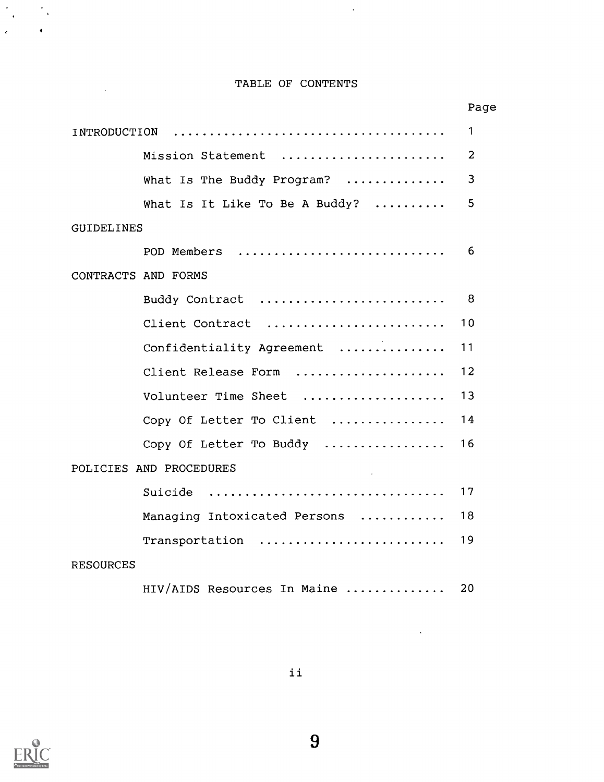## TABLE OF CONTENTS

 $\frac{1}{\sqrt{2}}$ 

|                                | Page           |
|--------------------------------|----------------|
| INTRODUCTION                   | 1              |
| Mission Statement              | $\overline{2}$ |
| What Is The Buddy Program?     | 3              |
| What Is It Like To Be A Buddy? | 5              |
| <b>GUIDELINES</b>              |                |
| POD Members                    | 6              |
| CONTRACTS AND FORMS            |                |
| Buddy Contract                 | 8              |
| Client Contract                | 10             |
| Confidentiality Agreement      | 11             |
| Client Release Form            | 12             |
| Volunteer Time Sheet           | 13             |
| Copy Of Letter To Client       | 14             |
| Copy Of Letter To Buddy        | 16             |
| POLICIES AND PROCEDURES        |                |
| Suicide                        | 17             |
| Managing Intoxicated Persons   | 18             |
| Transportation                 | 19             |
| <b>RESOURCES</b>               |                |
| HIV/AIDS Resources In Maine    | 20             |



 $\frac{1}{2} \sum_{i=1}^{n} \frac{1}{i} \sum_{j=1}^{n} \frac{1}{j}$ 

 $\ddot{\phantom{a}}$ 

 $\sim 10^{-11}$ 

 $\ddot{\phantom{a}}$ 

9

 $\bar{\mathcal{A}}$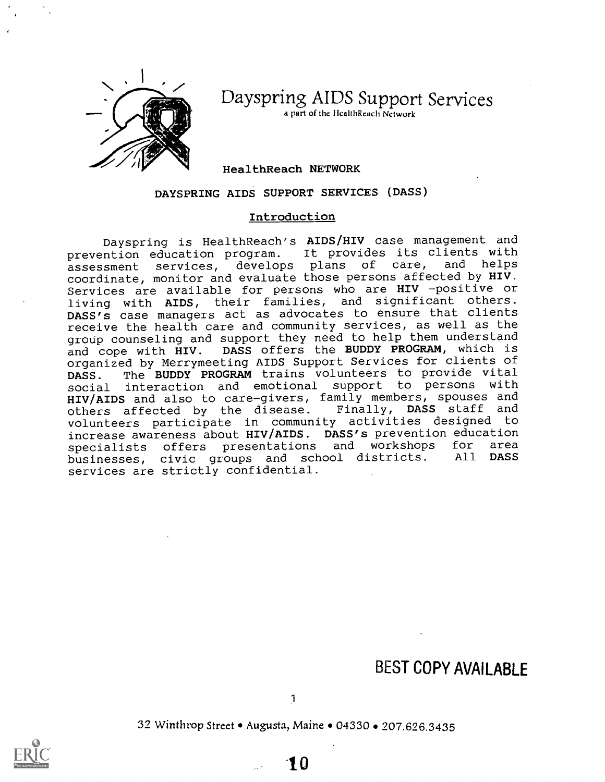

Dayspring AIDS Support Services

a part of the IleallhReach Network

### HealthReach NETWORK

### DAYSPRING AIDS SUPPORT SERVICES (DASS)

### Introduction

Dayspring is HealthReach's AIDS/HIV case management and prevention education program. It provides its clients with assessment services, develops plans of care, and helps coordinate, monitor and evaluate those persons affected by HIV. Services are available for persons who are HIV -positive or living with AIDS, their families, and significant others. DASS's case managers act as advocates to ensure that clients receive the health care and community services, as well as the group counseling and support they need to help them understand and cope with HIV. DASS offers the BUDDY PROGRAM, which is organized by Merrymeeting AIDS Support Services for clients of DASS. The BUDDY PROGRAM trains volunteers to provide vital social interaction and emotional support to persons with HIV/AIDS and also to care-givers, family members, spouses and others affected by the disease. Finally, DASS staff and volunteers participate in community activities designed to increase awareness about HIV/AIDS. DASS's prevention education<br>specialists. Offers, presentations, and workshops, for area specialists offers presentations and workshops for area<br>businesses, civic groups and school districts. All **DASS** businesses, civic groups and school districts. services are strictly confidential.

# BEST COPY AVAILABLE

32 Winthrop Street • Augusta, Maine • 04330 • 207.626.3435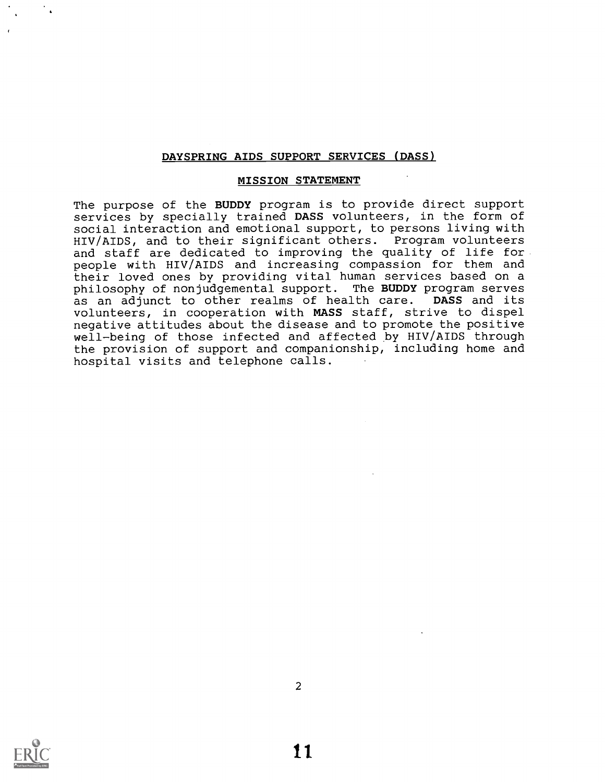### MISSION STATEMENT

The purpose of the BUDDY program is to provide direct support services by specially trained DASS volunteers, in the form of social interaction and emotional support, to persons living with HIV/AIDS, and to their significant others. Program volunteers and staff are dedicated to improving the quality of life for people with HIV/AIDS and increasing compassion for them and their loved ones by providing vital human services based on a philosophy of nonjudgemental support. The BUDDY program serves as an adjunct to other realms of health care. DASS and its volunteers, in cooperation with MASS staff, strive to dispel negative attitudes about the disease and to promote the positive well-being of those infected and affected by HIV/AIDS through the provision of support and companionship, including home and hospital visits and telephone calls.

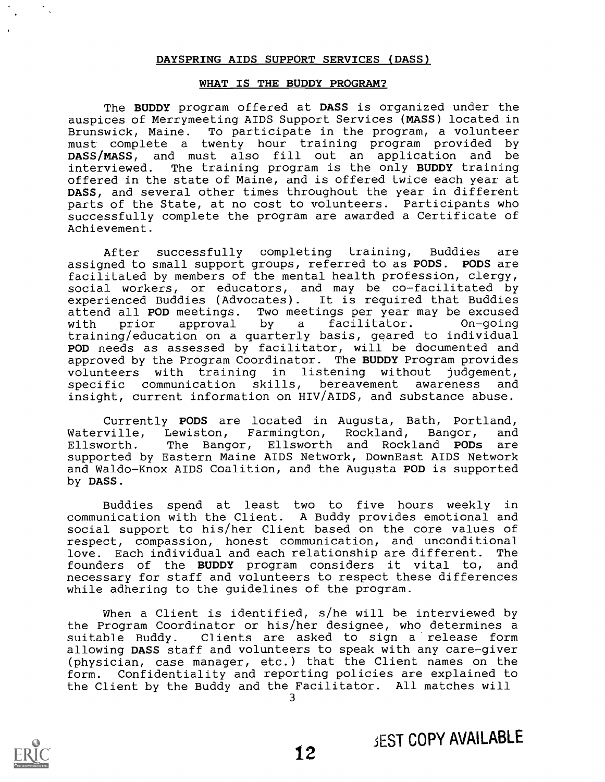### WHAT IS THE BUDDY PROGRAM?

The BUDDY program offered at DASS is organized under the auspices of Merrymeeting AIDS Support Services (MASS) located in Brunswick, Maine. To participate in the program, a volunteer must complete a twenty hour training program provided by DASS/MASS, and must also fill out an application and be interviewed. The training program is the only BUDDY training offered in the state of Maine, and is offered twice each year at DASS, and several other times throughout the year in different parts of the State, at no cost to volunteers. Participants who successfully complete the program are awarded a Certificate of Achievement.

After successfully completing training, Buddies are assigned to small support groups, referred to as PODS. PODS are facilitated by members of the mental health profession, clergy, social workers, or educators, and may be co-facilitated by experienced Buddies (Advocates). It is required that Buddies attend all POD meetings. Two meetings per year may be excused<br>with prior approval by a facilitator. On-going with prior approval by a facilitator. training/education on a quarterly basis, geared to individual POD needs as assessed by facilitator, will be documented and approved by the Program Coordinator. The BUDDY Program provides volunteers with training in listening without judgement, specific communication skills, bereavement awareness and insight, current information on HIV/AIDS, and substance abuse.

Currently PODS are located in Augusta, Bath, Portland,<br>Waterville, Lewiston, Farmington, Rockland, Bangor, and Waterville, Lewiston, Farmington, Rockland, Bangor, and<br>Ellsworth. The Bangor, Ellsworth and Rockland PODs are The Bangor, Ellsworth and Rockland PODs supported by Eastern Maine AIDS Network, DownEast AIDS Network and Waldo-Knox AIDS Coalition, and the Augusta POD is supported by DASS.

Buddies spend at least two to five hours weekly in communication with the Client. A Buddy provides emotional and social support to his/her Client based on the core values of respect, compassion, honest communication, and unconditional<br>love. Each individual and each relationship are different. The love. Each individual and each relationship are different. founders of the BUDDY program considers it vital to, and necessary for staff and volunteers to respect these differences while adhering to the guidelines of the program.

When a Client is identified, s/he will be interviewed by the Program Coordinator or his/her designee, who determines a suitable Buddy. Clients are asked to sign a release form allowing DASS staff and volunteers to speak with any care-giver (physician, case manager, etc.) that the Client names on the form. Confidentiality and reporting policies are explained to the Client by the Buddy and the Facilitator. All matches will

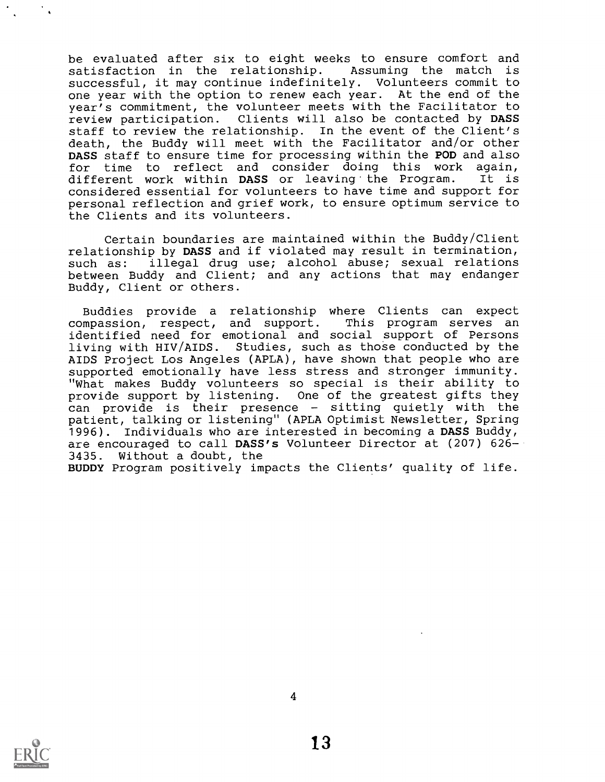be evaluated after six to eight weeks to ensure comfort and satisfaction in the relationship. Assuming the match is successful, it may continue indefinitely. Volunteers commit to one year with the option to renew each year. At the end of the year's commitment, the volunteer meets with the Facilitator to review participation. Clients will also be contacted by DASS staff to review the relationship. In the event of the Client's death, the Buddy will meet with the Facilitator and/or other DASS staff to ensure time for processing within the POD and also for time to reflect and consider doing this work again,<br>different work within DASS or leaving the Program. It is different work within DASS or leaving the Program. considered essential for volunteers to have time and support for personal reflection and grief work, to ensure optimum service to the Clients and its volunteers.

Certain boundaries are maintained within the Buddy/Client relationship by DASS and if violated may result in termination, such as: illegal drug use; alcohol abuse; sexual relations between Buddy and Client; and any actions that may endanger Buddy, Client or others.

Buddies provide a relationship where Clients can expect compassion, respect, and support. This program serves an identified need for emotional and social support of Persons living with HIV/AIDS. Studies, such as those conducted by the AIDS Project Los Angeles (APLA), have shown that people who are supported emotionally have less stress and stronger immunity. "What makes Buddy volunteers so special is their ability to provide support by listening. One of the greatest gifts they can provide is their presence - sitting quietly with the patient, talking or listening" (APLA Optimist Newsletter, Spring 1996). Individuals who are interested in becoming a DASS Buddy, are encouraged to call DASS's Volunteer Director at (207) 626-3435. Without a doubt, the

BUDDY Program positively impacts the Clients' quality of life.

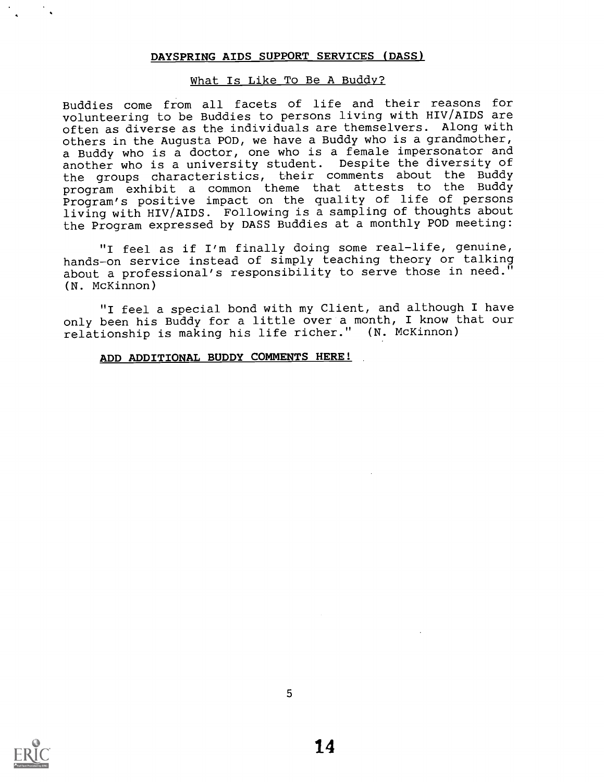### What Is Like To Be A Buddy?

Buddies come from all facets of life and their reasons for volunteering to be Buddies to persons living with HIV/AIDS are often as diverse as the individuals are themselvers. Along with others in the Augusta POD, we have a Buddy who is a grandmother, a Buddy who is a doctor, one who is a female impersonator and another who is a university student. Despite the diversity of the groups characteristics, their comments about the Buddy program exhibit <sup>a</sup> common theme that attests to the Buddy Program's positive impact on the quality of life of persons living with HIV/AIDS. Following is a sampling of thoughts about the Program expressed by DASS Buddies at a monthly POD meeting:

"I feel as if I'm finally doing some real-life, genuine, hands-on service instead of simply teaching theory or talking about a professional's responsibility to serve those in need." (N. McKinnon)

"I feel a special bond with my Client, and although I have only been his Buddy for a little over a month, I know that our relationship is making his life richer." (N. McKinnon)

### ADD ADDITIONAL BUDDY COMMENTS HERE!

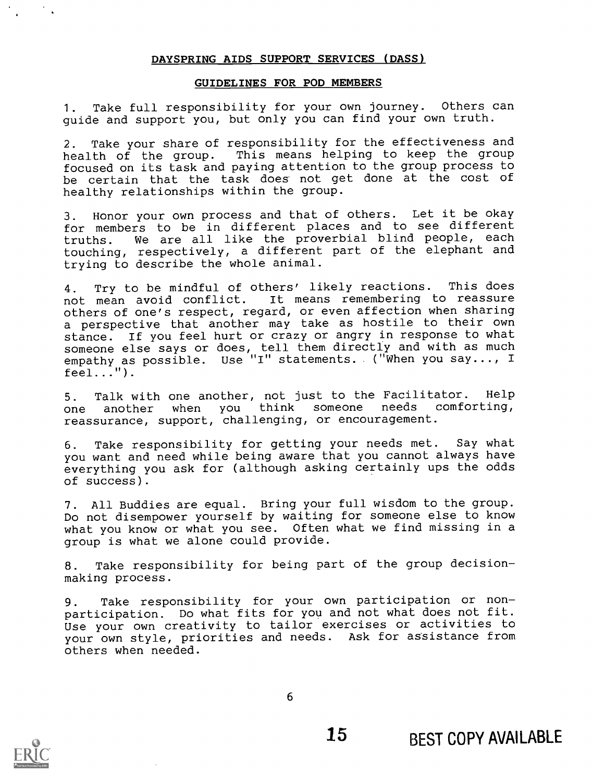### GUIDELINES FOR POD MEMBERS

1. Take full responsibility for your own journey. Others can guide and support you, but only you can find your own truth.

2. Take your share of responsibility for the effectiveness and health of the group. This means helping to keep the group focused on its task and paying attention to the group process to be certain that the task does not get done at the cost of healthy relationships within the group.

3. Honor your own process and that of others. Let it be okay for members to be in different places and to see different truths. We are all like the proverbial blind people, each touching, respectively, a different part of the elephant and trying to describe the whole animal.

4. Try to be mindful of others' likely reactions. This does not mean avoid conflict. It means remembering to reassure others of one's respect, regard, or even affection when sharing a perspective that another may take as hostile to their own stance. If you feel hurt or crazy or angry in response to what someone else says or does, tell them directly and with as much empathy as possible. Use "I" statements. ("When you say..., I  $feel...$ ").

5. Talk with one another, not just to the Facilitator. Help one another when you think someone needs comforting, reassurance, support, challenging, or encouragement.

6. Take responsibility for getting your needs met. Say what you want and need while being aware that you cannot always have everything you ask for (although asking certainly ups the odds of success).

7. All Buddies are equal. Bring your full wisdom to the group. Do not disempower yourself by waiting for someone else to know what you know or what you see. Often what we find missing in a group is what we alone could provide.

8. Take responsibility for being part of the group decisionmaking process.

9. Take responsibility for your own participation or nonparticipation. Do what fits for you and not what does not fit. Use your own creativity to tailor exercises or activities to your own style, priorities and needs. Ask for assistance from others when needed.

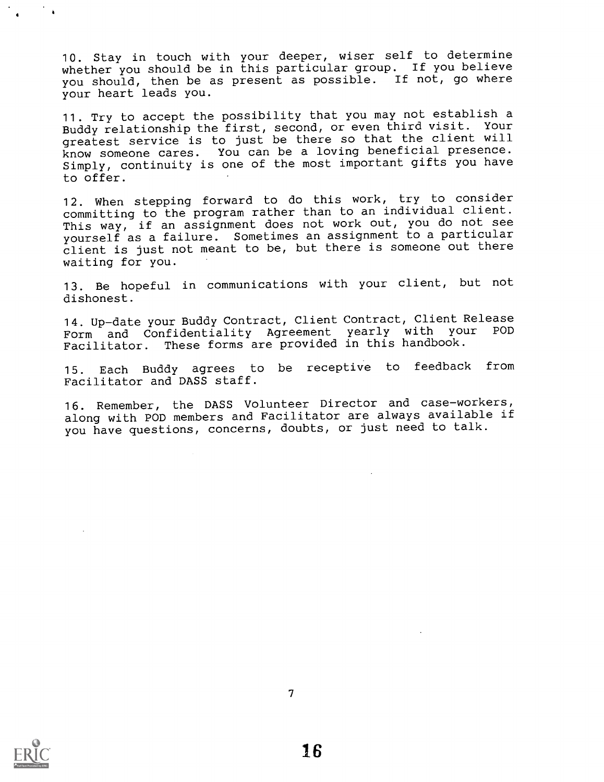10. Stay in touch with your deeper, wiser self to determine whether you should be in this particular group. If you believe you should, then be as present as possible. If not, go where your heart leads you.

11. Try to accept the possibility that you may not establish a Buddy relationship the first, second, or even third visit. Your greatest service is to just be there so that the client will know someone cares. You can be a loving beneficial presence. Simply, continuity is one of the most important gifts you have to offer.

12. When stepping forward to do this work, try to consider committing to the program rather than to an individual client. This way, if an assignment does not work out, you do not see yourself as a failure. Sometimes an assignment to a particular client is just not meant to be, but there is someone out there waiting for you.

13. Be hopeful in communications with your client, but not dishonest.

14. Up-date your Buddy Contract, Client Contract, Client Release Form and Confidentiality Agreement yearly with your Facilitator. These forms are provided in this handbook.

15. Each Buddy agrees to be receptive to feedback from Facilitator and DASS staff.

16. Remember, the DASS Volunteer Director and case-workers, along with POD members and Facilitator are always available if you have questions, concerns, doubts, or just need to talk.

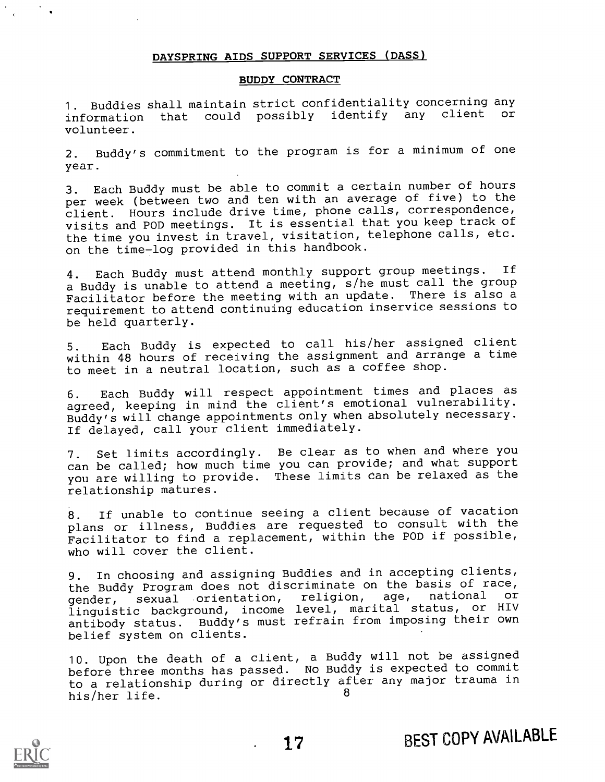### BUDDY CONTRACT

1. Buddies shall maintain strict confidentiality concerning any information that could possibly identify any client or volunteer.

2. Buddy's commitment to the program is for a minimum of one year.

3. Each Buddy must be able to commit a certain number of hours per week (between two and ten with an average of five) to the client. Hours include drive time, phone calls, correspondence, visits and POD meetings. It is essential that you keep track of the time you invest in travel, visitation, telephone calls, etc. on the time-log provided in this handbook.

4. Each Buddy must attend monthly support group meetings. If a Buddy is unable to attend a meeting, s/he must call the group Facilitator before the meeting with an update. There is also a requirement to attend continuing education inservice sessions to be held quarterly.

5. Each Buddy is expected to call his/her assigned client within 48 hours of receiving the assignment and arrange a time to meet in a neutral location, such as a coffee shop.

6. Each Buddy will respect appointment times and places as agreed, keeping in mind the client's emotional vulnerability. Buddy's will change appointments only when absolutely necessary. If delayed, call your client immediately.

7. Set limits accordingly. Be clear as to when and where you can be called; how much time you can provide; and what support you are willing to provide. These limits can be relaxed as the relationship matures.

8. If unable to continue seeing a client because of vacation plans or illness, Buddies are requested to consult with the Facilitator to find a replacement, within the POD if possible, who will cover the client.

9. In choosing and assigning Buddies and in accepting clients, the Buddy Program does not discriminate on the basis of race, gender, sexual orientation, religion, age, national or linguistic background, income level, marital status, or HIV antibody status. Buddy's must refrain from imposing their own belief system on clients.

10. Upon the death of a client, a Buddy will not be assigned before three months has passed. No Buddy is expected to commit to a relationship during or directly after any major trauma in his/her life. <sup>8</sup>



17 BEST COPY AVAILABLE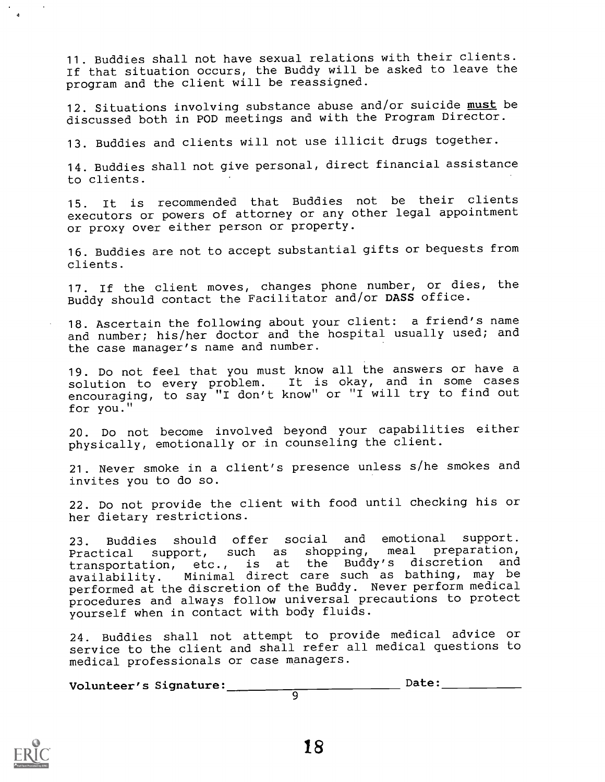11. Buddies shall not have sexual relations with their clients. If that situation occurs, the Buddy will be asked to leave the program and the client will be reassigned.

12. Situations involving substance abuse and/or suicide must be discussed both in POD meetings and with the Program Director.

13. Buddies and clients will not use illicit drugs together.

14. Buddies shall not give personal, direct financial assistance to clients.

15. It is recommended that Buddies not be their clients executors or powers of attorney or any other legal appointment or proxy over either person or property.

16. Buddies are not to accept substantial gifts or bequests from clients.

17. If the client moves, changes phone number, or dies, the Buddy should contact the Facilitator and/or DASS office.

18. Ascertain the following about your client: a friend's name and number; his/her doctor and the hospital usually used; and the case manager's name and number.

19. Do not feel that you must know all the answers or have a solution to every problem. It is okay, and in some cases encouraging, to say "I don't know" or "I will try to find out for you."

20. Do not become involved beyond your capabilities either physically, emotionally or in counseling the client.

21. Never smoke in a client's presence unless s/he smokes and invites you to do so.

22. Do not provide the client with food until checking his or her dietary restrictions.

23. Buddies should offer social and emotional support. Practical support, such as shopping, meal preparation, transportation, etc., is at the Buddy's discretion and availability. Minimal direct care such as bathing, may be performed at the discretion of the Buddy. Never perform medical procedures and always follow universal precautions to protect yourself when in contact with body fluids.

24. Buddies shall not attempt to provide medical advice or service to the client and shall refer all medical questions to medical professionals or case managers.

 $\overline{q}$ 

 $Volume:$   $Date:$   $Date:$   $Date:$   $Date:$   $Date:$   $Date:$   $Date:$   $Date:$   $Date:$   $Date:$   $Date:$   $Date:$   $Date:$   $Date:$   $Date:$   $Date:$   $Date:$   $Date:$   $Date:$   $Date:$   $Date:$   $Date:$   $Date:$   $Date:$   $Date:$   $Date:$   $Date:$   $Date:$   $Date:$   $Date:$   $Date:$   $Date:$   $Date:$   $Date:$   $Date:$   $Date:$ 

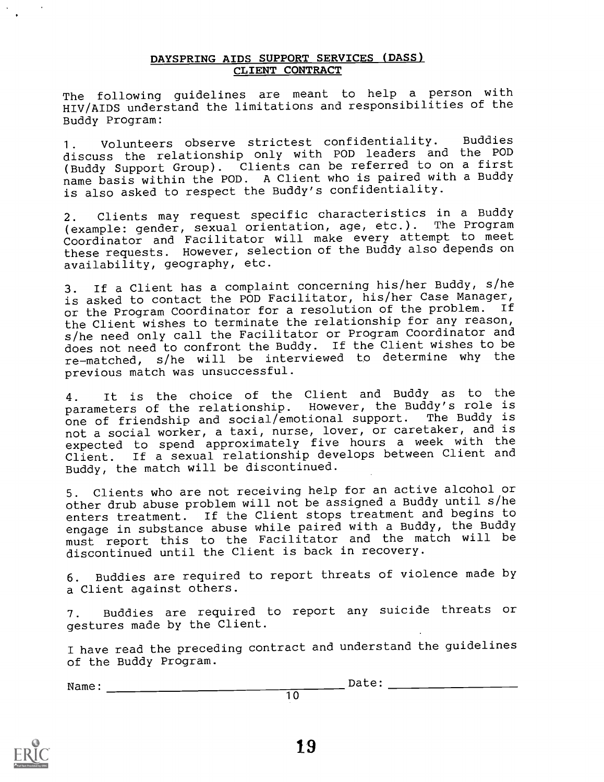### DAYSPRING AIDS SUPPORT SERVICES (DASS) CLIENT CONTRACT

The following guidelines are meant to help a person with HIV/AIDS understand the limitations and responsibilities of the Buddy Program:

1. Volunteers observe strictest confidentiality. Buddies discuss the relationship only with POD leaders and the POD (Buddy Support Group). Clients can be referred to on a first name basis within the POD. A Client who is paired with a Buddy is also asked to respect the Buddy's confidentiality.

2. Clients may request specific characteristics in a Buddy (example: gender, sexual orientation, age, etc.). The Program Coordinator and Facilitator will make every attempt to meet these requests. However, selection of the Buddy also depends on availability, geography, etc.

3. If a Client has a complaint concerning his/her Buddy, s/he is asked to contact the POD Facilitator, his/her Case Manager, or the Program Coordinator for a resolution of the problem. If the Client wishes to terminate the relationship for any reason, s/he need only call the Facilitator or Program Coordinator and does not need to confront the Buddy. If the Client wishes to be re-matched, s/he will be interviewed to determine why the previous match was unsuccessful.

4. It is the choice of the Client and Buddy as to the parameters of the relationship. However, the Buddy's role is one of friendship and social/emotional support. The Buddy is not a social worker, a taxi, nurse, lover, or caretaker, and is expected to spend approximately five hours a week with the Client. If a sexual relationship develops between Client and Buddy, the match will be discontinued.

5. Clients who are not receiving help for an active alcohol or other drub abuse problem will not be assigned a Buddy until s/he enters treatment. If the Client stops treatment and begins to engage in substance abuse while paired with a Buddy, the Buddy must report this to the Facilitator and the match will be discontinued until the Client is back in recovery.

6. Buddies are required to report threats of violence made by a Client against others.

7. Buddies are required to report any suicide threats or gestures made by the Client.

I have read the preceding contract and understand the guidelines of the Buddy Program.

Name: Date:



19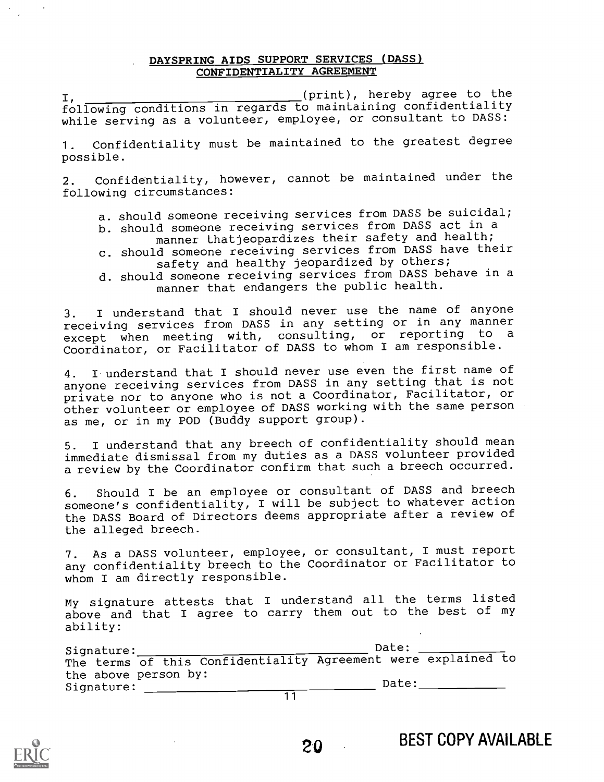### DAYSPRING AIDS SUPPORT SERVICES (DASS) CONFIDENTIALITY AGREEMENT

(print), hereby agree to the I, The conditions in regards to maintaining confidentiality while serving as a volunteer, employee, or consultant to DASS:

1. Confidentiality must be maintained to the greatest degree possible.

2. Confidentiality, however, cannot be maintained under the following circumstances:

- a. should someone receiving services from DASS be suicidal;
- b. should someone receiving services from DASS act in a manner thatjeopardizes their safety and health;
- c. should someone receiving services from DASS have their safety and healthy jeopardized by others;
- d. should someone receiving services from DASS behave in a manner that endangers the public health.

3. I understand that I should never use the name of anyone receiving services from DASS in any setting or in any manner except when meeting with, consulting, or reporting to <sup>a</sup> Coordinator, or Facilitator of DASS to whom I am responsible.

4. I understand that I should never use even the first name of anyone receiving services from DASS in any setting that is not private nor to anyone who is not a Coordinator, Facilitator, or other volunteer or employee of DASS working with the same person as me, or in my POD (Buddy support group).

5. I understand that any breech of confidentiality should mean immediate dismissal from my duties as a DASS volunteer provided a review by the Coordinator confirm that such a breech occurred.

6. Should I be an employee or consultant of DASS and breech someone's confidentiality, I will be subject to whatever action the DASS Board of Directors deems appropriate after a review of the alleged breech.

7. As a DASS volunteer, employee, or consultant, I must report any confidentiality breech to the Coordinator or Facilitator to whom I am directly responsible.

My signature attests that I understand all the terms listed above and that I agree to carry them out to the best of my ability:

| Signature:                         | Date:                                                         |
|------------------------------------|---------------------------------------------------------------|
|                                    | The terms of this Confidentiality Agreement were explained to |
| the above person by:<br>Signature: | Date:                                                         |
|                                    |                                                               |

20 BEST COPY AVAILABLE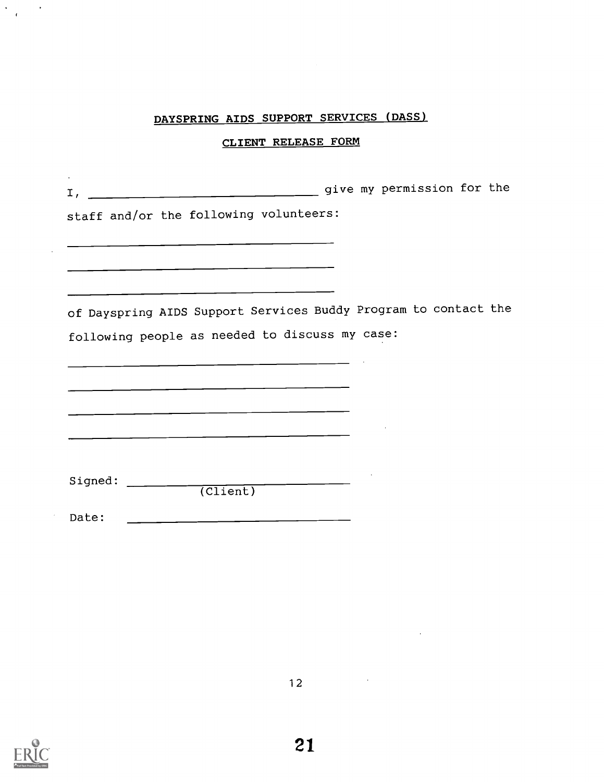## CLIENT RELEASE FORM

| $I,$ $I,$                                                 | give my permission for the                                      |
|-----------------------------------------------------------|-----------------------------------------------------------------|
| staff and/or the following volunteers:                    |                                                                 |
|                                                           |                                                                 |
|                                                           |                                                                 |
|                                                           | of Dayspring AIDS Support Services Buddy Program to contact the |
|                                                           | following people as needed to discuss my case:                  |
|                                                           |                                                                 |
| <u> 1980 - John Stein, Amerikaansk politiker (* 1950)</u> |                                                                 |
|                                                           |                                                                 |
|                                                           |                                                                 |
| Signed:                                                   | $\overline{(Client)}$                                           |
| Date:                                                     |                                                                 |



 $\frac{1}{2} \sum_{i=1}^n \frac{1}{i!} \frac{1}{i!} \sum_{j=1}^n \frac{1}{j!} \sum_{j=1}^n \frac{1}{j!} \sum_{j=1}^n \frac{1}{j!} \sum_{j=1}^n \frac{1}{j!} \sum_{j=1}^n \frac{1}{j!} \sum_{j=1}^n \frac{1}{j!} \sum_{j=1}^n \frac{1}{j!} \sum_{j=1}^n \frac{1}{j!} \sum_{j=1}^n \frac{1}{j!} \sum_{j=1}^n \frac{1}{j!} \sum_{j=1}^n \frac{1}{j!} \$ 

 $\mathcal{L}^{\mathcal{L}}$ 

 $\sim$   $\lambda$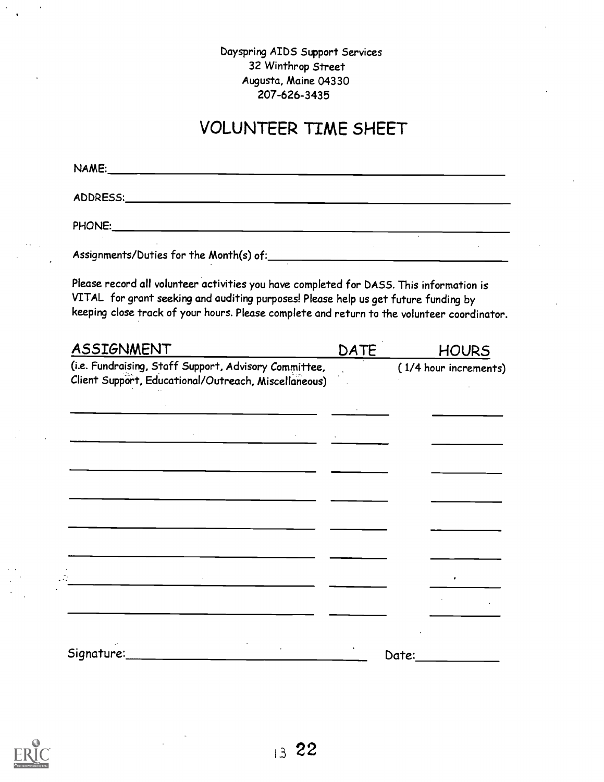## Dayspring AIDS Support Services 32 Winthrop Street Augusta, Maine 04330 207-626-3435

# VOLUNTEER TIME SHEET

| Please record all volunteer activities you have completed for DASS. This information is<br>VITAL for grant seeking and auditing purposes! Please help us get future funding by<br>keeping close track of your hours. Please complete and return to the volunteer coordinator. |             |              |
|-------------------------------------------------------------------------------------------------------------------------------------------------------------------------------------------------------------------------------------------------------------------------------|-------------|--------------|
| <b>ASSIGNMENT</b>                                                                                                                                                                                                                                                             | <b>DATE</b> | <b>HOURS</b> |
| Client Support, Educational/Outreach, Miscellaneous)<br><u> 1989 - Johann Barnett, fransk politik (d. 1989)</u>                                                                                                                                                               |             |              |
| <u> 1980 - Johann Harrison, fransk politik (d. 1980)</u>                                                                                                                                                                                                                      |             |              |
|                                                                                                                                                                                                                                                                               |             |              |



 $\frac{1}{2}$  ,

 $\sim$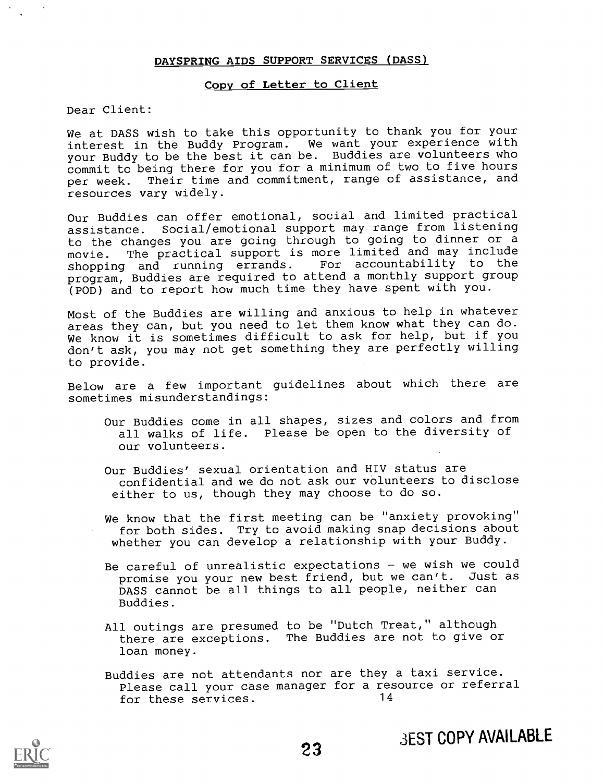### Copy of Letter to Client

### Dear Client:

We at DASS wish to take this opportunity to thank you for your interest in the Buddy Program. We want your experience with your Buddy to be the best it can be. Buddies are volunteers who commit to being there for you for a minimum of two to five hours per week. Their time and commitment, range of assistance, and resources vary widely.

Our Buddies can offer emotional, social and limited practical assistance. Social/emotional support may range from listening to the changes you are going through to going to dinner or a movie. The practical support is more limited and may include shopping and running errands. For accountability to the shopping and running errands. For accountability to the program, Buddies are required to attend a monthly support group (POD) and to report how much time they have spent with you.

Most of the Buddies are willing and anxious to help in whatever areas they can, but you need to let them know what they can do. We know it is sometimes difficult to ask for help, but if you don't ask, you may not get something they are perfectly willing to provide.

Below are a few important guidelines about which there are sometimes misunderstandings:

- Our Buddies come in all shapes, sizes and colors and from all walks of life. Please be open to the diversity of our volunteers.
- Our Buddies' sexual orientation and HIV status are confidential and we do not ask our volunteers to disclose either to us, though they may choose to do so.
- We know that the first meeting can be "anxiety provoking" for both sides. Try to avoid making snap decisions about whether you can develop a relationship with your Buddy.
- Be careful of unrealistic expectations  $-$  we wish we could promise you your new best friend, but we can't. Just as DASS cannot be all things to all people, neither can Buddies.
- All outings are presumed to be "Dutch Treat," although there are exceptions. The Buddies are not to give or loan money.
- Buddies are not attendants nor are they a taxi service. Please call your case manager for a resource or referral for these services. 14

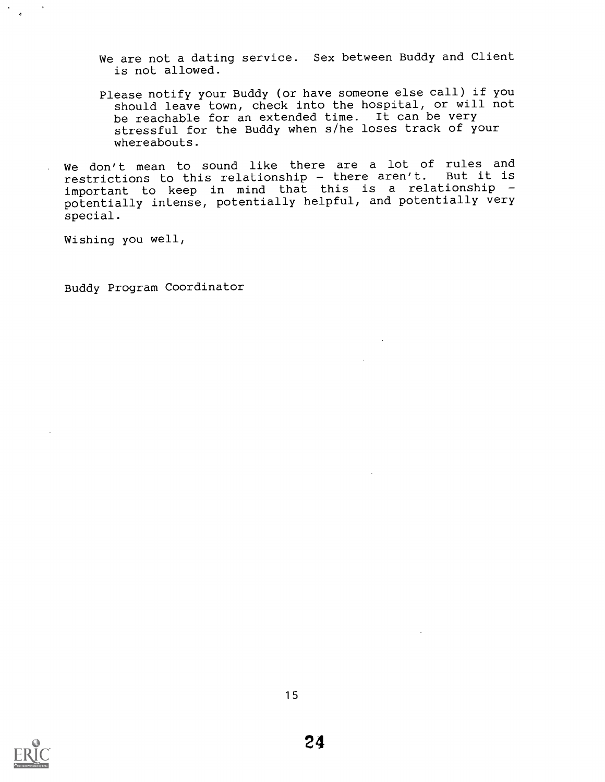We are not a dating service. Sex between Buddy and Client is not allowed.

Please notify your Buddy (or have someone else call) if you should leave town, check into the hospital, or will not be reachable for an extended time. It can be very stressful for the Buddy when s/he loses track of your whereabouts.

We don't mean to sound like there are a lot of rules and restrictions to this relationship - there aren't. But it is important to keep in mind that this is <sup>a</sup> relationship potentially intense, potentially helpful, and potentially very special.

Wishing you well,

Buddy Program Coordinator

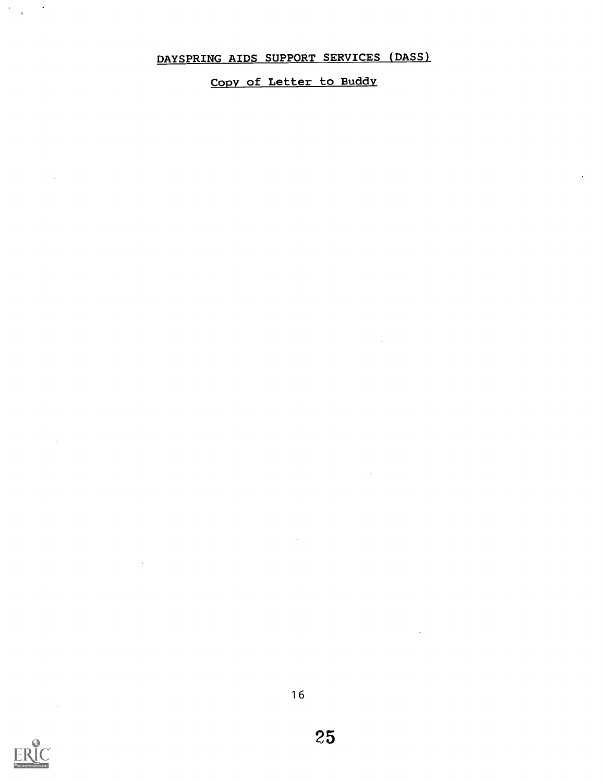Copy of Letter to Buddy



 $\sim 100$ 

 $\langle \hat{S}_{\rm{max}} \rangle$  ,  $\langle \hat{S}_{\rm{max}} \rangle$ 

25

 $\sim$ 

 $\bar{z}$ 

 $\mathcal{A}$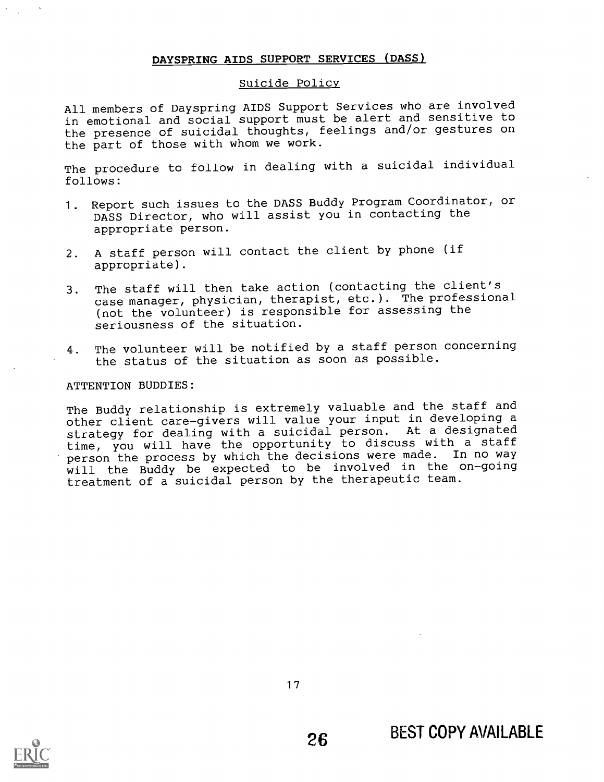### Suicide Policy

All members of Dayspring AIDS Support Services who are involved in emotional and social support must be alert and sensitive to the presence of suicidal thoughts, feelings and/or gestures on the part of those with whom we work.

The procedure to follow in dealing with a suicidal individual follows:

- 1. Report such issues to the DASS Buddy Program Coordinator, or DASS Director, who will assist you in contacting the appropriate person.
- 2. A staff person will contact the client by phone (if appropriate).
- 3. The staff will then take action (contacting the client's case manager, physician, therapist, etc.). The professional (not the volunteer) is responsible for assessing the seriousness of the situation.
- 4. The volunteer will be notified by a staff person concerning the status of the situation as soon as possible.

### ATTENTION BUDDIES:

The Buddy relationship is extremely valuable and the staff and other client care-givers will value your input in developing a strategy for dealing with a suicidal person. At a designated time, you will have the opportunity to discuss with a staff person the process by which the decisions were made. In no way will the Buddy be expected to be involved in the on-going treatment of a suicidal person by the therapeutic team.

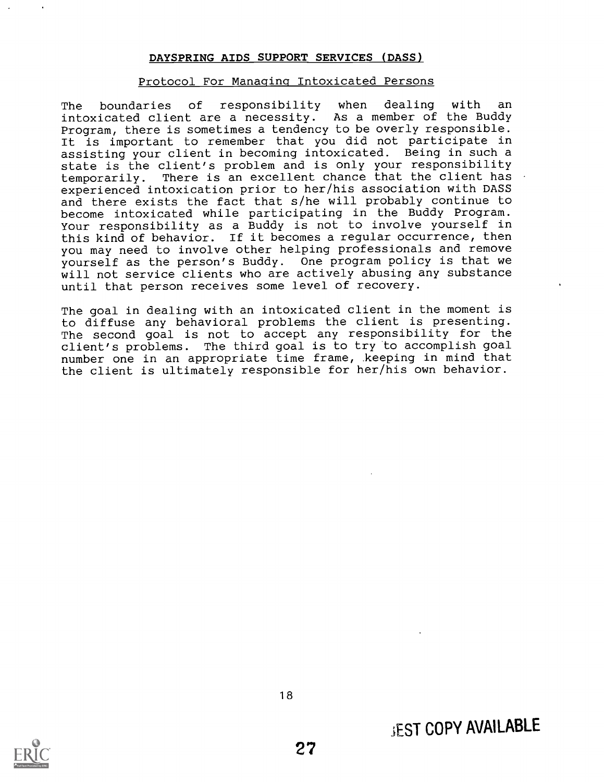### Protocol For Managing Intoxicated Persons

The boundaries of responsibility when dealing with an intoxicated client are a necessity. As a member of the Buddy Program, there is sometimes a tendency to be overly responsible. It is important to remember that you did not participate in assisting your client in becoming intoxicated. Being in such a state is the client's problem and is only your responsibility temporarily. There is an excellent chance that the client has experienced intoxication prior to her/his association with DASS and there exists the fact that s/he will probably continue to become intoxicated while participating in the Buddy Program. Your responsibility as a Buddy is not to involve yourself in this kind of behavior. If it becomes a regular occurrence, then you may need to involve other helping professionals and remove yourself as the person's Buddy. One program policy is that we will not service clients who are actively abusing any substance until that person receives some level of recovery.

The goal in dealing with an intoxicated client in the moment is to diffuse any behavioral problems the client is presenting. The second goal is not to accept any responsibility for the client's problems. The third goal is to try to accomplish goal number one in an appropriate time frame, keeping in mind that the client is ultimately responsible for her/his own behavior.

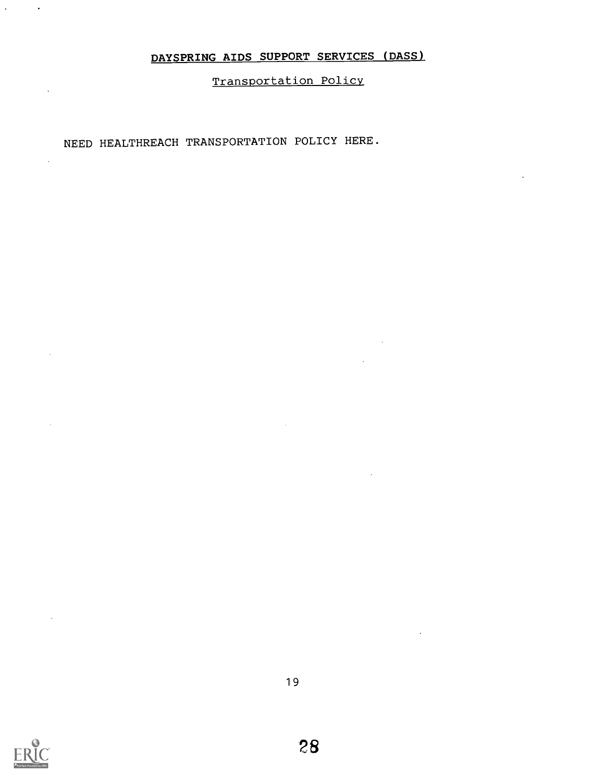Transportation Policy

# NEED HEALTHREACH TRANSPORTATION POLICY HERE.



 $\mathcal{L}^{\text{max}}$ 

 $\sim$   $\sim$ 

 $\ddot{\phantom{a}}$ 

 $\bar{z}$ 

 $\bar{z}$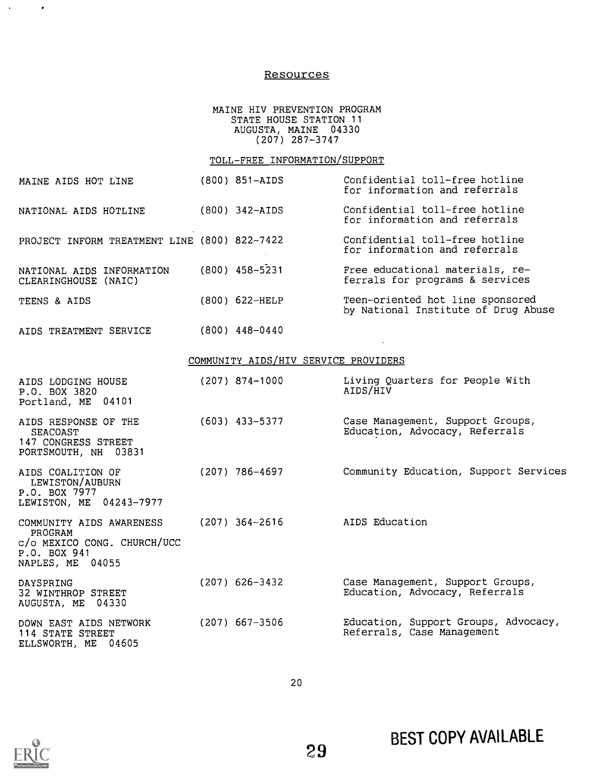### Resources

### MAINE HIV PREVENTION PROGRAM STATE HOUSE STATION 11 AUGUSTA, MAINE 04330 (207) 287-3747

### TOLL-FREE INFORMATION/SUPPORT

| MAINE AIDS HOT LINE                                                                                    | $(800)$ 851-AIDS                     | Confidential toll-free hotline<br>for information and referrals         |
|--------------------------------------------------------------------------------------------------------|--------------------------------------|-------------------------------------------------------------------------|
| NATIONAL AIDS HOTLINE                                                                                  | (800) 342-AIDS                       | Confidential toll-free hotline<br>for information and referrals         |
| PROJECT INFORM TREATMENT LINE (800) 822-7422                                                           |                                      | Confidential toll-free hotline<br>for information and referrals         |
| NATIONAL AIDS INFORMATION<br>CLEARINGHOUSE (NAIC)                                                      | $(800)$ 458-5231                     | Free educational materials, re-<br>ferrals for programs & services      |
| TEENS & AIDS                                                                                           | (800) 622-HELP                       | Teen-oriented hot line sponsored<br>by National Institute of Drug Abuse |
| AIDS TREATMENT SERVICE                                                                                 | (800) 448-0440                       |                                                                         |
|                                                                                                        | COMMUNITY AIDS/HIV SERVICE PROVIDERS |                                                                         |
| AIDS LODGING HOUSE<br>P.O. BOX 3820<br>Portland, ME 04101                                              | $(207)$ 874-1000                     | Living Quarters for People With<br>AIDS/HIV                             |
| AIDS RESPONSE OF THE<br><b>SEACOAST</b><br>147 CONGRESS STREET<br>PORTSMOUTH, NH 03831                 | (603) 433-5377                       | Case Management, Support Groups,<br>Education, Advocacy, Referrals      |
| AIDS COALITION OF<br>LEWISTON/AUBURN<br>P.O. BOX 7977<br>LEWISTON, ME 04243-7977                       | (207) 786-4697                       | Community Education, Support Services                                   |
| COMMUNITY AIDS AWARENESS<br>PROGRAM<br>c/o MEXICO CONG. CHURCH/UCC<br>P.O. BOX 941<br>NAPLES, ME 04055 | (207) 364-2616                       | AIDS Education                                                          |
| DAYSPRING<br>32 WINTHROP STREET<br>AUGUSTA, ME 04330                                                   | $(207)$ 626-3432                     | Case Management, Support Groups,<br>Education, Advocacy, Referrals      |
| DOWN EAST AIDS NETWORK<br>114 STATE STREET<br>ELLSWORTH, ME 04605                                      | (207) 667-3506                       | Education, Support Groups, Advocacy,<br>Referrals, Case Management      |



 $\Delta \phi = 0.001$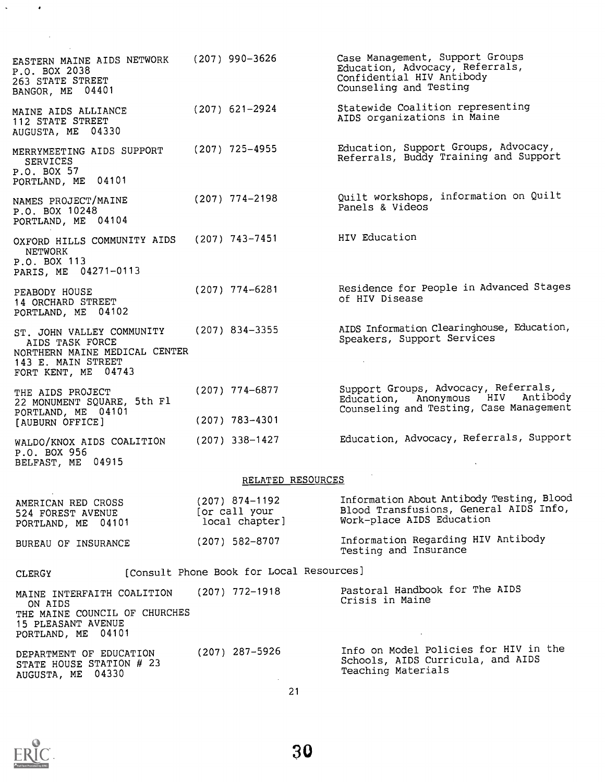| EASTERN MAINE AIDS NETWORK<br>P.O. BOX 2038<br>263 STATE STREET<br>BANGOR, ME 04401                                        | (207) 990-3626                                      | Case Management, Support Groups<br>Education, Advocacy, Referrals,<br>Confidential HIV Antibody<br>Counseling and Testing |  |  |  |
|----------------------------------------------------------------------------------------------------------------------------|-----------------------------------------------------|---------------------------------------------------------------------------------------------------------------------------|--|--|--|
| MAINE AIDS ALLIANCE<br>112 STATE STREET<br>AUGUSTA, ME 04330                                                               | $(207)$ 621-2924                                    | Statewide Coalition representing<br>AIDS organizations in Maine                                                           |  |  |  |
| MERRYMEETING AIDS SUPPORT<br><b>SERVICES</b><br>P.O. BOX 57<br>PORTLAND, ME 04101                                          | $(207)$ 725-4955                                    | Education, Support Groups, Advocacy,<br>Referrals, Buddy Training and Support                                             |  |  |  |
| NAMES PROJECT/MAINE<br>P.O. BOX 10248<br>PORTLAND, ME 04104                                                                | $(207)$ 774-2198                                    | Quilt workshops, information on Quilt<br>Panels & Videos                                                                  |  |  |  |
| OXFORD HILLS COMMUNITY AIDS<br><b>NETWORK</b><br>P.O. BOX 113<br>PARIS, ME 04271-0113                                      | $(207)$ 743-7451                                    | HIV Education                                                                                                             |  |  |  |
| PEABODY HOUSE<br>14 ORCHARD STREET<br>PORTLAND, ME 04102                                                                   | $(207)$ 774-6281                                    | Residence for People in Advanced Stages<br>of HIV Disease                                                                 |  |  |  |
| ST. JOHN VALLEY COMMUNITY<br>AIDS TASK FORCE<br>NORTHERN MAINE MEDICAL CENTER<br>143 E. MAIN STREET<br>FORT KENT, ME 04743 | $(207)$ 834-3355                                    | AIDS Information Clearinghouse, Education,<br>Speakers, Support Services                                                  |  |  |  |
| THE AIDS PROJECT<br>22 MONUMENT SQUARE, 5th Fl<br>PORTLAND, ME 04101<br>[AUBURN OFFICE]                                    | $(207)$ 774-6877<br>$(207)$ 783-4301                | Support Groups, Advocacy, Referrals,<br>Education, Anonymous HIV Antibody<br>Counseling and Testing, Case Management      |  |  |  |
| WALDO/KNOX AIDS COALITION<br>P.O. BOX 956<br>BELFAST, ME 04915                                                             | $(207)$ 338-1427                                    | Education, Advocacy, Referrals, Support                                                                                   |  |  |  |
|                                                                                                                            | RELATED RESOURCES                                   |                                                                                                                           |  |  |  |
| AMERICAN RED CROSS<br>524 FOREST AVENUE<br>PORTLAND, ME 04101                                                              | $(207)$ 874-1192<br>[or call your<br>local chapter] | Information About Antibody Testing, Blood<br>Blood Transfusions, General AIDS Info,<br>Work-place AIDS Education          |  |  |  |
| BUREAU OF INSURANCE                                                                                                        | $(207)$ 582-8707                                    | Information Regarding HIV Antibody<br>Testing and Insurance                                                               |  |  |  |
| [Consult Phone Book for Local Resources]<br>CLERGY                                                                         |                                                     |                                                                                                                           |  |  |  |
| MAINE INTERFAITH COALITION<br>ON AIDS<br>THE MAINE COUNCIL OF CHURCHES<br>15 PLEASANT AVENUE<br>PORTLAND, ME 04101         | (207) 772-1918                                      | Pastoral Handbook for The AIDS<br>Crisis in Maine                                                                         |  |  |  |
| DEPARTMENT OF EDUCATION<br>STATE HOUSE STATION # 23<br>AUGUSTA, ME 04330                                                   | $(207)$ 287-5926                                    | Info on Model Policies for HIV in the<br>Schools, AIDS Curricula, and AIDS<br>Teaching Materials                          |  |  |  |
|                                                                                                                            |                                                     |                                                                                                                           |  |  |  |

21



 $\mathcal{L}_{\text{max}}$  ,  $\mathcal{L}_{\text{max}}$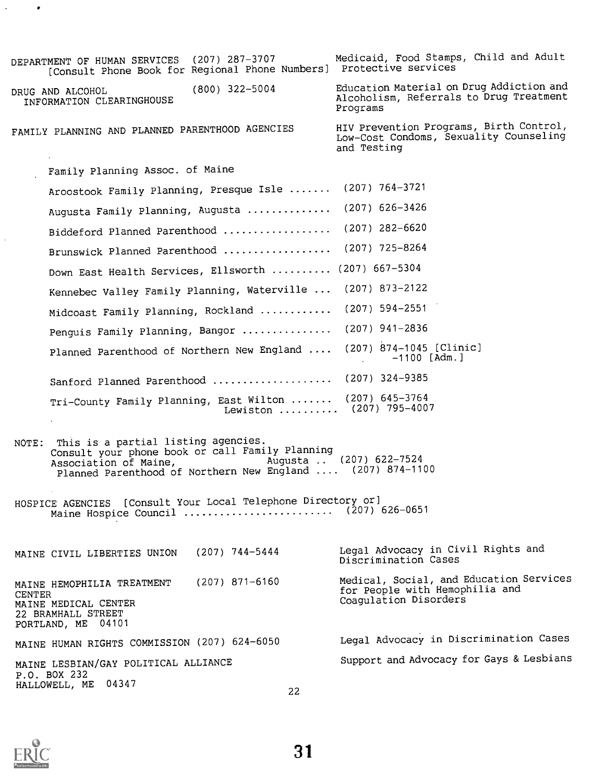| DEPARTMENT OF HUMAN SERVICES (207) 287-3707<br>[Consult Phone Book for Regional Phone Numbers] Protective services                                                                                             | Medicaid, Food Stamps, Child and Adult                                                             |
|----------------------------------------------------------------------------------------------------------------------------------------------------------------------------------------------------------------|----------------------------------------------------------------------------------------------------|
| $(800)$ 322-5004<br>DRUG AND ALCOHOL<br>INFORMATION CLEARINGHOUSE                                                                                                                                              | Education Material on Drug Addiction and<br>Alcoholism, Referrals to Drug Treatment<br>Programs    |
| FAMILY PLANNING AND PLANNED PARENTHOOD AGENCIES                                                                                                                                                                | HIV Prevention Programs, Birth Control,<br>Low-Cost Condoms, Sexuality Counseling<br>and Testing   |
| Family Planning Assoc. of Maine                                                                                                                                                                                |                                                                                                    |
| Aroostook Family Planning, Presque Isle                                                                                                                                                                        | $(207)$ 764-3721                                                                                   |
| Augusta Family Planning, Augusta  (207) 626-3426                                                                                                                                                               |                                                                                                    |
| Biddeford Planned Parenthood                                                                                                                                                                                   | $(207)$ 282-6620                                                                                   |
| Brunswick Planned Parenthood                                                                                                                                                                                   | $(207)$ 725-8264                                                                                   |
| Down East Health Services, Ellsworth                                                                                                                                                                           | $(207)$ 667-5304                                                                                   |
| Kennebec Valley Family Planning, Waterville                                                                                                                                                                    | $(207)$ 873-2122                                                                                   |
| Midcoast Family Planning, Rockland                                                                                                                                                                             | (207) 594-2551                                                                                     |
| Penguis Family Planning, Bangor                                                                                                                                                                                | $(207)$ 941-2836                                                                                   |
| Planned Parenthood of Northern New England                                                                                                                                                                     | (207) 874-1045 [Clinic]<br>$-1100$ [Adm.]<br>$\sim$                                                |
| Sanford Planned Parenthood  (207) 324-9385                                                                                                                                                                     |                                                                                                    |
| Tri-County Family Planning, East Wilton  (207) 645-3764<br>Lewiston  (207) 795-4007<br>$\sim$                                                                                                                  |                                                                                                    |
| NOTE: This is a partial listing agencies.<br>Consult your phone book or call Family Planning<br>Augusta  (207) 622-7524<br>Association of Maine,<br>Planned Parenthood of Northern New England  (207) 874-1100 |                                                                                                    |
| HOSPICE AGENCIES [Consult Your Local Telephone Directory or]<br>Maine Hospice Council  (207) 626-0651                                                                                                          |                                                                                                    |
| $(207)$ 744-5444<br>MAINE CIVIL LIBERTIES UNION                                                                                                                                                                | Legal Advocacy in Civil Rights and<br>Discrimination Cases                                         |
| $(207)$ 871-6160<br>MAINE HEMOPHILIA TREATMENT<br>CENTER<br>MAINE MEDICAL CENTER<br>22 BRAMHALL STREET<br>PORTLAND, ME 04101                                                                                   | Medical, Social, and Education Services<br>for People with Hemophilia and<br>Coagulation Disorders |
| MAINE HUMAN RIGHTS COMMISSION (207) 624-6050                                                                                                                                                                   | Legal Advocacy in Discrimination Cases                                                             |
| MAINE LESBIAN/GAY POLITICAL ALLIANCE<br>P.O. BOX 232<br>HALLOWELL, ME 04347<br>22                                                                                                                              | Support and Advocacy for Gays & Lesbians                                                           |
|                                                                                                                                                                                                                |                                                                                                    |



 $\hat{\mathcal{L}}$ 

 $\bullet$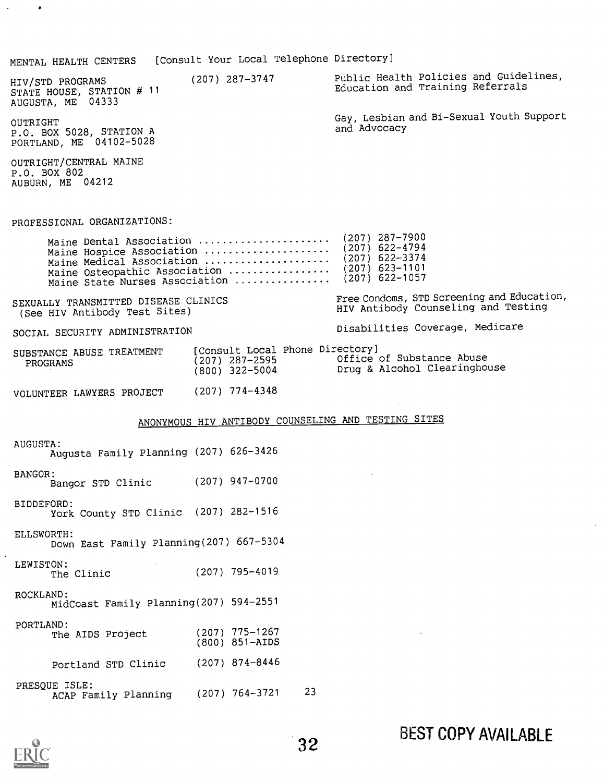MENTAL HEALTH CENTERS [Consult Your Local Telephone Directory]

HIV/STD PROGRAMS STATE HOUSE, STATION # 11 AUGUSTA, ME 04333 OUTRIGHT P.O. BOX 5028, STATION A PORTLAND, ME 04102-5028 OUTRIGHT/CENTRAL MAINE P.O. BOX 802 AUBURN, ME 04212 (207) 287-3747 Public Health Policies and Guidelines, Education and Training Referrals Gay, Lesbian and Bi-Sexual Youth Support and Advocacy PROFESSIONAL ORGANIZATIONS: Maine Dental Association (207) 287-7900 Maine Hospice Association ...................... (207) 622-4794<br>Maine Modical Association Maine Medical Association ...................... (207) 622-3374<br>Maine Osteopathic Association ................... (207) 623-1101 Maine Osteopathic Association  $\ldots$ .............. (207) 623-1101<br>Maine State Nurses Association (207) 622-1057 Maine State Nurses Association ............... SEXUALLY TRANSMITTED DISEASE CLINICS (See HIV Antibody Test Sites) SOCIAL SECURITY ADMINISTRATION SUBSTANCE ABUSE TREATMENT [Consult Local<br>PROGRAMS (207) 287-2595 PROGRAMS VOLUNTEER LAWYERS PROJECT Free Condoms, STD Screening and Education, HIV Antibody Counseling and Testing Disabilities Coverage, Medicare [Consult Local Phone Directory] (207) 287-2595 Office of Substance Abuse<br>(800) 322-5004 Drug & Alcohol Clearingho Drug & Alcohol Clearinghouse (207) 774-4348 ANONYMOUS HIV ANTIBODY COUNSELING AND TESTING SITES AUGUSTA: Augusta Family Planning (207) 626-3426 BANGOR: Bangor STD Clinic (207) 947-0700 BIDDEFORD: York County STD Clinic (207) 282-1516 ELLSWORTH: Down East Family Planning(207) 667-5304 LEWISTON: The Clinic ROCKLAND: MidCoast Family Planning(207) 594-2551 PORTLAND: The AIDS Project (800) 851-AIDS Portland STD Clinic (207) 795-4019 775-1267 874-8446

PRESQUE ISLE: ACAP Family Planning 764-3721 23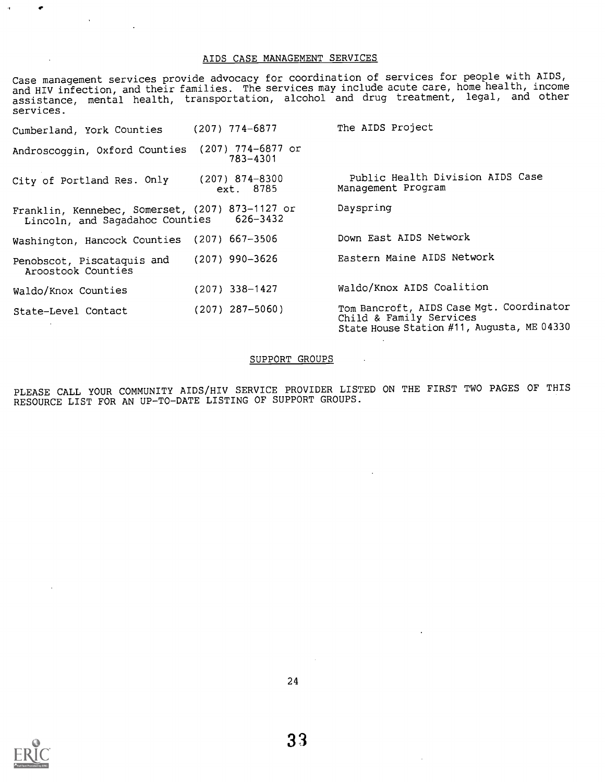### AIDS CASE MANAGEMENT SERVICES

Case management services provide advocacy for coordination of services for people with AIDS, and HIV infection, and their families. The services may include acute care, home health, income<br>state in and other assistance, mental health, transportation, alcohol and drug treatment, legal, and other services.

| Cumberland, York Counties                                                                   | $(207)$ 774-6877                | The AIDS Project                                                                                                  |
|---------------------------------------------------------------------------------------------|---------------------------------|-------------------------------------------------------------------------------------------------------------------|
| Androscoggin, Oxford Counties                                                               | $(207)$ 774-6877 or<br>783-4301 |                                                                                                                   |
| City of Portland Res. Only                                                                  | $(207)$ 874-8300<br>ext. 8785   | Public Health Division AIDS Case<br>Management Program                                                            |
| Franklin, Kennebec, Somerset, (207) 873-1127 or<br>Lincoln, and Sagadahoc Counties 626-3432 |                                 | Dayspring                                                                                                         |
| Washington, Hancock Counties (207) 667-3506                                                 |                                 | Down East AIDS Network                                                                                            |
| Penobscot, Piscataquis and<br>Aroostook Counties                                            | $(207)$ 990-3626                | Eastern Maine AIDS Network                                                                                        |
| Waldo/Knox Counties                                                                         | $(207)$ 338-1427                | Waldo/Knox AIDS Coalition                                                                                         |
| State-Level Contact                                                                         | $(207)$ 287-5060)               | Tom Bancroft, AIDS Case Mgt. Coordinator<br>Child & Family Services<br>State House Station #11, Augusta, ME 04330 |

### SUPPORT GROUPS

PLEASE CALL YOUR COMMUNITY AIDS/HIV SERVICE PROVIDER LISTED ON THE FIRST TWO PAGES OF THIS RESOURCE LIST FOR AN UP-TO-DATE LISTING OF SUPPORT GROUPS.



 $\sim$   $\mu$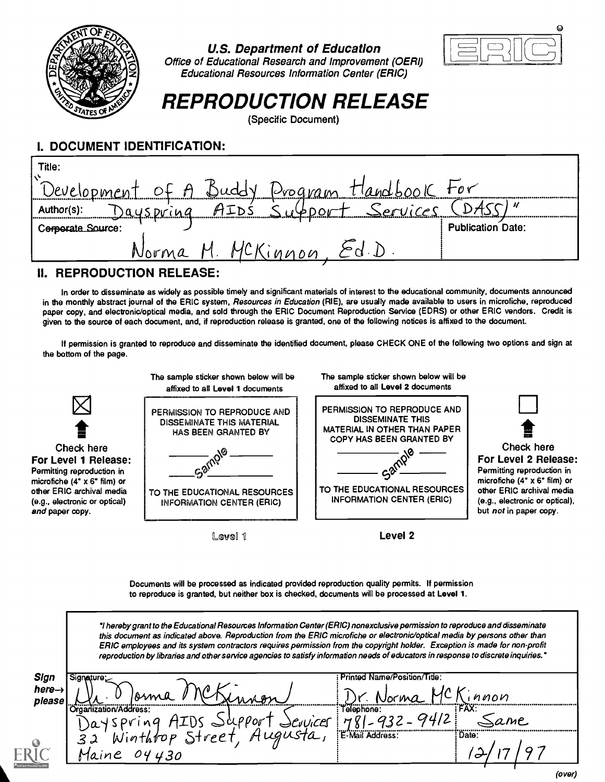

### U.S. Department of Education



Office of Educational Research and Improvement (OERI) Educational Resources Information Center (ERIC)

# REPRODUCTION RELEASE

(Specific Document)

# I. DOCUMENT IDENTIFICATION:

| Title:                                      |                          |
|---------------------------------------------|--------------------------|
| Development of A Buddy Drogram Handbook For |                          |
| Support Services<br>Author(s):<br>Dayspring |                          |
| Corporate Source:                           | <b>Publication Date:</b> |
| Norma M.<br>MCK<br>innon, Ed.D              |                          |

## II. REPRODUCTION RELEASE:

In order to disseminate as widely as possible timely and significant materials of interest to the educational community, documents announced in the monthly abstract journal of the ERIC system, Resources in Education (RIE), are usually made available to users in microfiche, reproduced paper copy, and electronic/optical media, and sold through the ERIC Document Reproduction Service (EDRS) or other ERIC vendors. Credit is given to the source of each document, and, if reproduction release is granted, one of the following notices is affixed to the document.

If permission is granted to reproduce and disseminate the identified document, please CHECK ONE of the following two options and sign at the bottom of the page.



Documents will be processed as indicated provided reproduction quality permits. If permission to reproduce is granted, but neither box is checked, documents will be processed at Level 1.

I hereby grant to the Educational Resources Information Center (ERIC) nonexclusive permission to reproduce and disseminate this document as indicated above. Reproduction from the ERIC microfiche or electronic/optical media by persons other than ERIC employees and its system contractors requires permission from the copyright holder. Exception is made for non-profit reproduction by libraries and other service agencies to satisfy information needs of educators in response to discrete inquiries.'

| Sign               | signature:                            | Printed Name/Position/Title:          |  |
|--------------------|---------------------------------------|---------------------------------------|--|
| here $\rightarrow$ |                                       | $\Lambda$                             |  |
| please             | Rsm<br>Organization/Address:          | nnon<br>VOCKW.<br>:FAX:<br>Telephone: |  |
|                    | 000 <sub>0</sub><br><b>WICE</b><br>)a | ame                                   |  |
|                    | Augusta,<br>Winthfop Street<br>32     | E-Mail Address:<br>: Date:            |  |
|                    | 430<br>04<br>Jaine                    |                                       |  |
|                    |                                       |                                       |  |

(over)